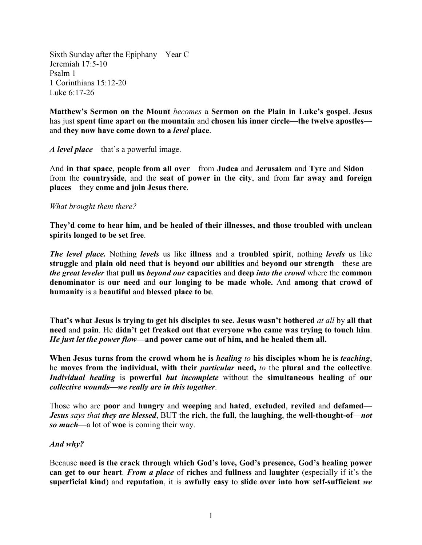Sixth Sunday after the Epiphany—Year C Jeremiah 17:5-10 Psalm 1 1 Corinthians 15:12-20 Luke 6:17-26

**Matthew's Sermon on the Mount** *becomes* a **Sermon on the Plain in Luke's gospel**. **Jesus** has just **spent time apart on the mountain** and **chosen his inner circle—the twelve apostles** and **they now have come down to a** *level* **place**.

*A level place*—that's a powerful image.

And **in that space**, **people from all over**—from **Judea** and **Jerusalem** and **Tyre** and **Sidon** from the **countryside**, and the **seat of power in the city**, and from **far away and foreign places**—they **come and join Jesus there**.

## *What brought them there?*

**They'd come to hear him, and be healed of their illnesses, and those troubled with unclean spirits longed to be set free**.

*The level place.* Nothing *levels* us like **illness** and a **troubled spirit**, nothing *levels* us like **struggle** and **plain old need that is beyond our abilities** and **beyond our strength**—these are *the great leveler* that **pull us** *beyond our* **capacities** and **deep** *into the crowd* where the **common denominator** is **our need** and **our longing to be made whole.** And **among that crowd of humanity** is a **beautiful** and **blessed place to be**.

**That's what Jesus is trying to get his disciples to see. Jesus wasn't bothered** *at all* by **all that need** and **pain**. He **didn't get freaked out that everyone who came was trying to touch him**. *He just let the power flow—***and power came out of him, and he healed them all.**

**When Jesus turns from the crowd whom he is** *healing to* **his disciples whom he is** *teaching*, he **moves from the individual, with their** *particular* **need,** *to* the **plural and the collective**. *Individual healing* is **powerful** *but incomplete* without the **simultaneous healing** of **our**  *collective wounds*—*we really are in this together*.

Those who are **poor** and **hungry** and **weeping** and **hated**, **excluded**, **reviled** and **defamed**— *Jesus says that they are blessed*, BUT the **rich**, the **full**, the **laughing**, the **well-thought-of**—*not so much*—a lot of **woe** is coming their way.

## *And why?*

Because **need is the crack through which God's love, God's presence, God's healing power can get to our heart**. *From a place* of **riches** and **fullness** and **laughter** (especially if it's the **superficial kind**) and **reputation**, it is **awfully easy** to **slide over into how self-sufficient** *we*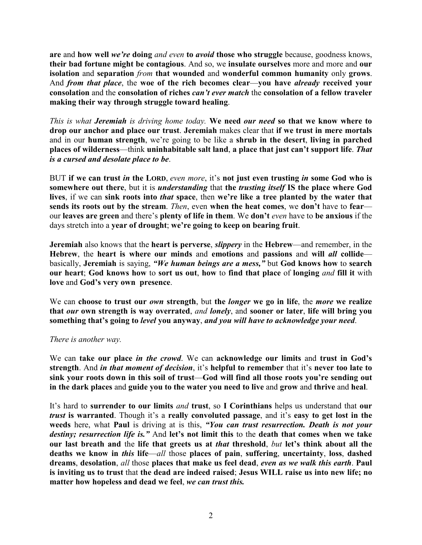**are** and **how well** *we're* **doing** *and even* **to** *avoid* **those who struggle** because, goodness knows, **their bad fortune might be contagious**. And so, we **insulate ourselves** more and more and **our isolation** and **separation** *from* **that wounded** and **wonderful common humanity** only **grows**. And *from that place*, the **woe of the rich becomes clear**—**you have** *already* **received your consolation** and the **consolation of riches** *can't ever match* the **consolation of a fellow traveler making their way through struggle toward healing**.

*This is what Jeremiah is driving home today.* **We need** *our need* **so that we know where to drop our anchor and place our trust**. **Jeremiah** makes clear that **if we trust in mere mortals** and in our **human strength**, we're going to be like a **shrub in the desert**, **living in parched places of wilderness**—think **uninhabitable salt land**, **a place that just can't support life**. *That is a cursed and desolate place to be*.

BUT **if we can trust** *in* **the LORD**, *even more*, it's **not just even trusting** *in* **some God who is somewhere out there**, but it is *understanding* that **the** *trusting itself* **IS the place where God lives**, if we can **sink roots into** *that* **space**, then **we're like a tree planted by the water that sends its roots out by the stream**. *Then*, even **when the heat comes**, we **don't** have to **fear** our **leaves are green** and there's **plenty of life in them**. We **don't** *even* have to **be anxious** if the days stretch into a **year of drought**; **we're going to keep on bearing fruit**.

**Jeremiah** also knows that the **heart is perverse**, *slippery* in the **Hebrew**—and remember, in the **Hebrew**, the **heart is where our minds** and **emotions** and **passions** and **will** *all* **collide** basically, **Jeremiah** is saying, *"We human beings are a mess,"* but **God knows how** to **search our heart**; **God knows how** to **sort us out**, **how** to **find that place** of **longing** *and* **fill it** with **love** and **God's very own presence**.

We can **choose to trust our** *own* **strength**, but **the** *longer* **we go in life**, the *more* **we realize that** *our* **own strength is way overrated**, *and lonely*, and **sooner or later**, **life will bring you something that's going to** *level* **you anyway**, *and you will have to acknowledge your need*.

## *There is another way.*

We can **take our place** *in the crowd*. We can **acknowledge our limits** and **trust in God's strength**. And *in that moment of decision*, it's **helpful to remember** that it's **never too late to sink your roots down in this soil of trust**—**God will find all those roots you're sending out in the dark places** and **guide you to the water you need to live** and **grow** and **thrive** and **heal**.

It's hard to **surrender to our limits** *and* **trust**, so **I Corinthians** helps us understand that **our**  *trust* **is warranted**. Though it's a **really convoluted passage**, and it's **easy to get lost in the weeds** here, what **Paul** is driving at is this, *"You can trust resurrection. Death is not your destiny; resurrection life is."* And **let's not limit this** to the **death that comes when we take our last breath and** the **life that greets us at** *that* **threshold**, *but* **let's think about all the deaths we know in** *this* **life**—*all* those **places of pain**, **suffering**, **uncertainty**, **loss**, **dashed dreams**, **desolation**, *all* those **places that make us feel dead**, *even as we walk this earth*. **Paul is inviting us to trust** that **the dead are indeed raised**; **Jesus WILL raise us into new life; no matter how hopeless and dead we feel**, *we can trust this.*